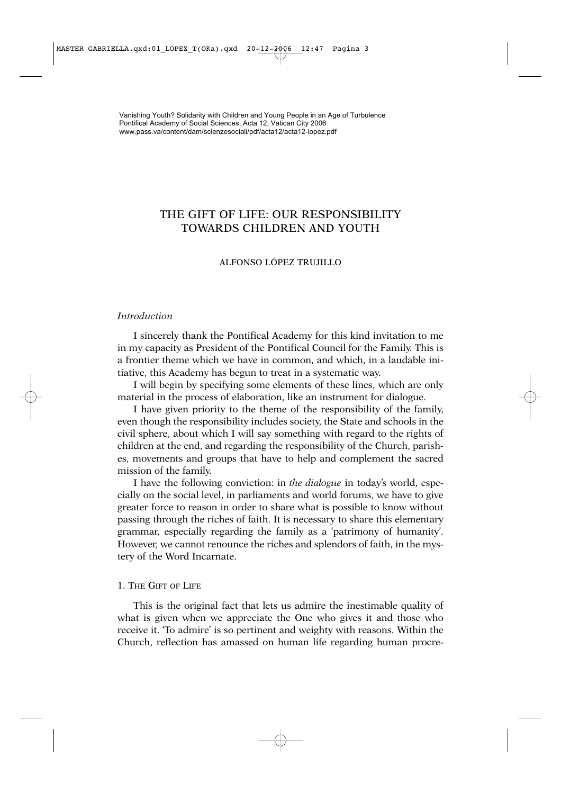# THE GIFT OF LIFE: OUR RESPONSIBILITY TOWARDS CHILDREN AND YOUTH

# ALFONSO LÓPEZ TRUJILLO

# *Introduction*

I sincerely thank the Pontifical Academy for this kind invitation to me in my capacity as President of the Pontifical Council for the Family. This is a frontier theme which we have in common, and which, in a laudable initiative, this Academy has begun to treat in a systematic way.

I will begin by specifying some elements of these lines, which are only material in the process of elaboration, like an instrument for dialogue.

I have given priority to the theme of the responsibility of the family, even though the responsibility includes society, the State and schools in the civil sphere, about which I will say something with regard to the rights of children at the end, and regarding the responsibility of the Church, parishes, movements and groups that have to help and complement the sacred mission of the family.

I have the following conviction: in *the dialogue* in today's world, especially on the social level, in parliaments and world forums, we have to give greater force to reason in order to share what is possible to know without passing through the riches of faith. It is necessary to share this elementary grammar, especially regarding the family as a 'patrimony of humanity'. However, we cannot renounce the riches and splendors of faith, in the mystery of the Word Incarnate.

### 1. THE GIFT OF LIFE

This is the original fact that lets us admire the inestimable quality of what is given when we appreciate the One who gives it and those who receive it. 'To admire' is so pertinent and weighty with reasons. Within the Church, reflection has amassed on human life regarding human procre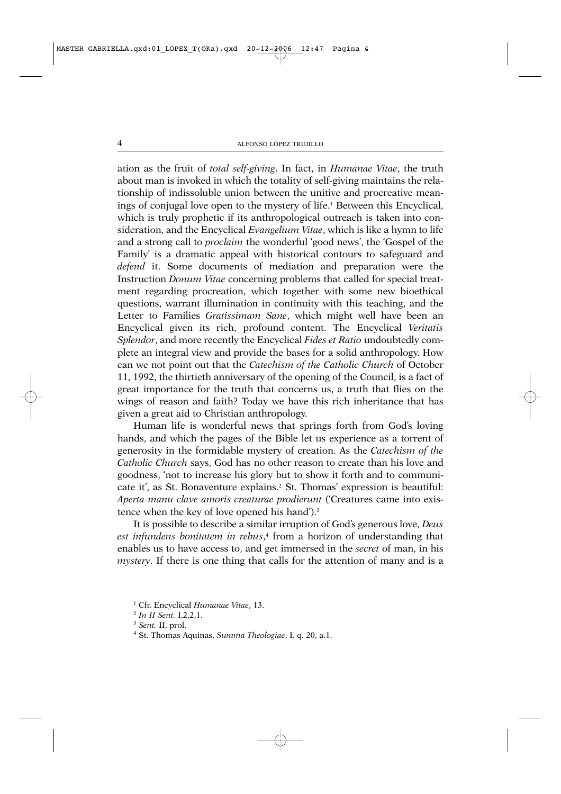ation as the fruit of *total self-giving*. In fact, in *Humanae Vitae*, the truth about man is invoked in which the totality of self-giving maintains the relationship of indissoluble union between the unitive and procreative meanings of conjugal love open to the mystery of life.<sup>1</sup> Between this Encyclical, which is truly prophetic if its anthropological outreach is taken into consideration, and the Encyclical *Evangelium Vitae*, which is like a hymn to life and a strong call to *proclaim* the wonderful 'good news', the 'Gospel of the Family' is a dramatic appeal with historical contours to safeguard and *defend* it. Some documents of mediation and preparation were the Instruction *Donum Vitae* concerning problems that called for special treatment regarding procreation, which together with some new bioethical questions, warrant illumination in continuity with this teaching, and the Letter to Families *Gratissimam Sane*, which might well have been an Encyclical given its rich, profound content. The Encyclical *Veritatis Splendor*, and more recently the Encyclical *Fides et Ratio* undoubtedly complete an integral view and provide the bases for a solid anthropology. How can we not point out that the *Catechism of the Catholic Church* of October 11, 1992, the thirtieth anniversary of the opening of the Council, is a fact of great importance for the truth that concerns us, a truth that flies on the wings of reason and faith? Today we have this rich inheritance that has given a great aid to Christian anthropology.

Human life is wonderful news that springs forth from God's loving hands, and which the pages of the Bible let us experience as a torrent of generosity in the formidable mystery of creation. As the *Catechism of the Catholic Church* says, God has no other reason to create than his love and goodness, 'not to increase his glory but to show it forth and to communicate it', as St. Bonaventure explains.2 St. Thomas' expression is beautiful: *Aperta manu clave amoris creaturae prodierunt* ('Creatures came into existence when the key of love opened his hand').<sup>3</sup>

It is possible to describe a similar irruption of God's generous love, *Deus est infundens bonitatem in rebus*, <sup>4</sup> from a horizon of understanding that enables us to have access to, and get immersed in the *secret* of man, in his *mystery*. If there is one thing that calls for the attention of many and is a

<sup>1</sup> Cfr. Encyclical *Humanae Vitae*, 13.

<sup>2</sup> *In II Sent.* I,2,2,1.

<sup>&</sup>lt;sup>3</sup> Sent. II, prol.

<sup>4</sup> St. Thomas Aquinas, *Summa Theologiae*, I. q. 20, a.1.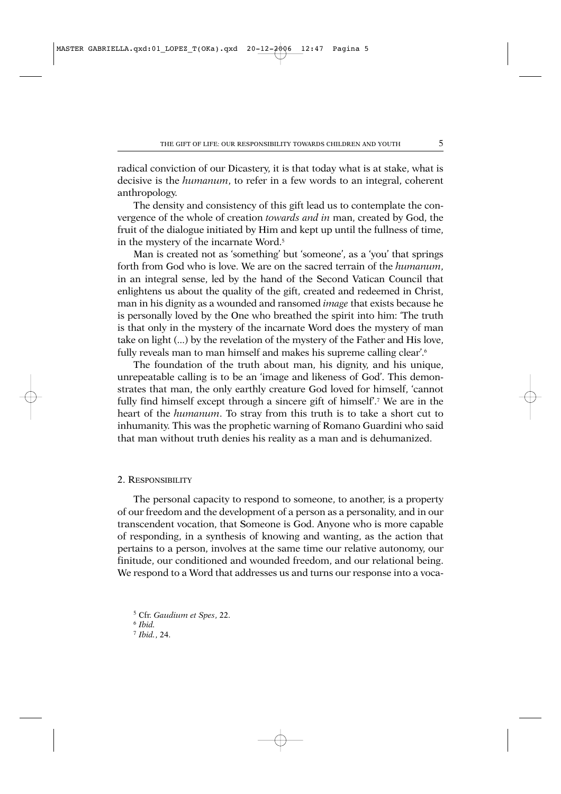radical conviction of our Dicastery, it is that today what is at stake, what is decisive is the *humanum*, to refer in a few words to an integral, coherent anthropology.

The density and consistency of this gift lead us to contemplate the convergence of the whole of creation *towards and in* man, created by God, the fruit of the dialogue initiated by Him and kept up until the fullness of time, in the mystery of the incarnate Word.5

Man is created not as 'something' but 'someone', as a 'you' that springs forth from God who is love. We are on the sacred terrain of the *humanum*, in an integral sense, led by the hand of the Second Vatican Council that enlightens us about the quality of the gift, created and redeemed in Christ, man in his dignity as a wounded and ransomed *image* that exists because he is personally loved by the One who breathed the spirit into him: 'The truth is that only in the mystery of the incarnate Word does the mystery of man take on light (...) by the revelation of the mystery of the Father and His love, fully reveals man to man himself and makes his supreme calling clear'.<sup>6</sup>

The foundation of the truth about man, his dignity, and his unique, unrepeatable calling is to be an 'image and likeness of God'. This demonstrates that man, the only earthly creature God loved for himself, 'cannot fully find himself except through a sincere gift of himself'.7 We are in the heart of the *humanum*. To stray from this truth is to take a short cut to inhumanity. This was the prophetic warning of Romano Guardini who said that man without truth denies his reality as a man and is dehumanized.

#### 2. RESPONSIBILITY

The personal capacity to respond to someone, to another, is a property of our freedom and the development of a person as a personality, and in our transcendent vocation, that Someone is God. Anyone who is more capable of responding, in a synthesis of knowing and wanting, as the action that pertains to a person, involves at the same time our relative autonomy, our finitude, our conditioned and wounded freedom, and our relational being. We respond to a Word that addresses us and turns our response into a voca-

<sup>5</sup> Cfr. *Gaudium et Spes*, 22.

<sup>6</sup> *Ibid.*

<sup>7</sup> *Ibid.*, 24.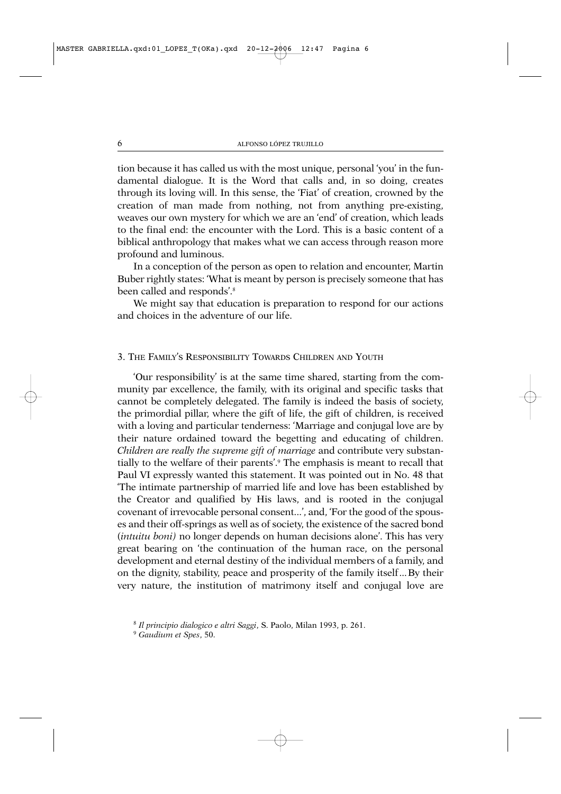tion because it has called us with the most unique, personal 'you' in the fundamental dialogue. It is the Word that calls and, in so doing, creates through its loving will. In this sense, the 'Fiat' of creation, crowned by the creation of man made from nothing, not from anything pre-existing, weaves our own mystery for which we are an 'end' of creation, which leads to the final end: the encounter with the Lord. This is a basic content of a biblical anthropology that makes what we can access through reason more profound and luminous.

In a conception of the person as open to relation and encounter, Martin Buber rightly states: 'What is meant by person is precisely someone that has been called and responds'.<sup>8</sup>

We might say that education is preparation to respond for our actions and choices in the adventure of our life.

# 3. THE FAMILY'S RESPONSIBILITY TOWARDS CHILDREN AND YOUTH

'Our responsibility' is at the same time shared, starting from the community par excellence, the family, with its original and specific tasks that cannot be completely delegated. The family is indeed the basis of society, the primordial pillar, where the gift of life, the gift of children, is received with a loving and particular tenderness: 'Marriage and conjugal love are by their nature ordained toward the begetting and educating of children. *Children are really the supreme gift of marriage* and contribute very substantially to the welfare of their parents'.9 The emphasis is meant to recall that Paul VI expressly wanted this statement. It was pointed out in No. 48 that 'The intimate partnership of married life and love has been established by the Creator and qualified by His laws, and is rooted in the conjugal covenant of irrevocable personal consent...', and, 'For the good of the spouses and their off-springs as well as of society, the existence of the sacred bond (*intuitu boni)* no longer depends on human decisions alone'. This has very great bearing on 'the continuation of the human race, on the personal development and eternal destiny of the individual members of a family, and on the dignity, stability, peace and prosperity of the family itself...By their very nature, the institution of matrimony itself and conjugal love are

<sup>8</sup> *Il principio dialogico e altri Saggi*, S. Paolo, Milan 1993, p. 261.

<sup>9</sup> *Gaudium et Spes*, 50.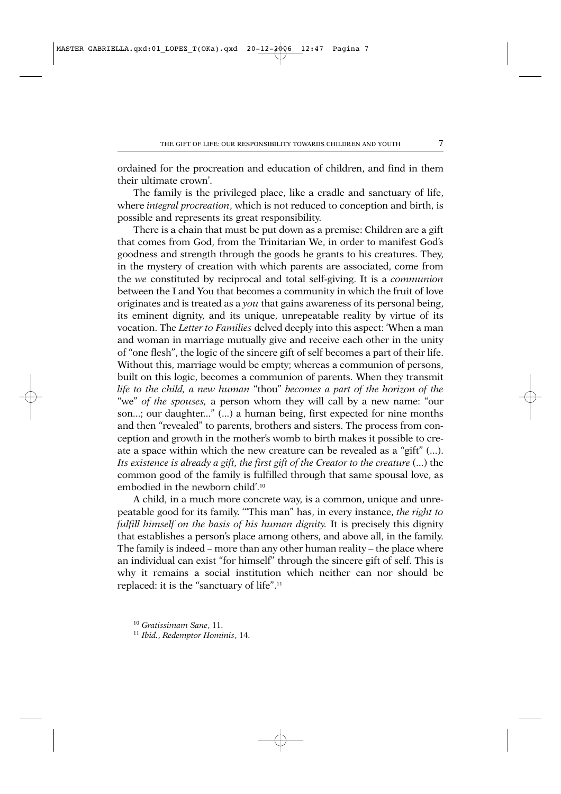ordained for the procreation and education of children, and find in them their ultimate crown'.

The family is the privileged place, like a cradle and sanctuary of life, where *integral procreation*, which is not reduced to conception and birth, is possible and represents its great responsibility.

There is a chain that must be put down as a premise: Children are a gift that comes from God, from the Trinitarian We, in order to manifest God's goodness and strength through the goods he grants to his creatures. They, in the mystery of creation with which parents are associated, come from the *we* constituted by reciprocal and total self-giving. It is a *communion* between the I and You that becomes a community in which the fruit of love originates and is treated as a *you* that gains awareness of its personal being, its eminent dignity, and its unique, unrepeatable reality by virtue of its vocation. The *Letter to Families* delved deeply into this aspect: 'When a man and woman in marriage mutually give and receive each other in the unity of "one flesh", the logic of the sincere gift of self becomes a part of their life. Without this, marriage would be empty; whereas a communion of persons, built on this logic, becomes a communion of parents. When they transmit *life to the child, a new human* "thou" *becomes a part of the horizon of the* "we" *of the spouses,* a person whom they will call by a new name: "our son...; our daughter..." (...) a human being, first expected for nine months and then "revealed" to parents, brothers and sisters. The process from conception and growth in the mother's womb to birth makes it possible to create a space within which the new creature can be revealed as a "gift" (...). *Its existence is already a gift, the first gift of the Creator to the creature* (...) the common good of the family is fulfilled through that same spousal love, as embodied in the newborn child'.10

A child, in a much more concrete way, is a common, unique and unrepeatable good for its family. '"This man" has, in every instance, *the right to fulfill himself on the basis of his human dignity.* It is precisely this dignity that establishes a person's place among others, and above all, in the family. The family is indeed – more than any other human reality – the place where an individual can exist "for himself" through the sincere gift of self. This is why it remains a social institution which neither can nor should be replaced: it is the "sanctuary of life".11

<sup>10</sup> *Gratissimam Sane*, 11.

<sup>11</sup> *Ibid.*, *Redemptor Hominis*, 14.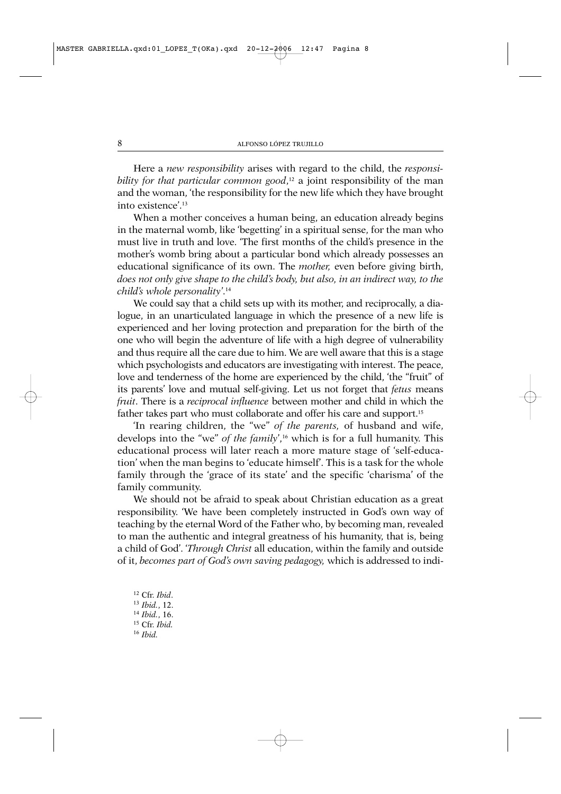Here a *new responsibility* arises with regard to the child, the *responsibility for that particular common good*, <sup>12</sup> a joint responsibility of the man and the woman, 'the responsibility for the new life which they have brought into existence'.13

When a mother conceives a human being, an education already begins in the maternal womb, like 'begetting' in a spiritual sense, for the man who must live in truth and love. 'The first months of the child's presence in the mother's womb bring about a particular bond which already possesses an educational significance of its own. The *mother,* even before giving birth, *does not only give shape to the child's body, but also, in an indirect way, to the child's whole personality'*. 14

We could say that a child sets up with its mother, and reciprocally, a dialogue, in an unarticulated language in which the presence of a new life is experienced and her loving protection and preparation for the birth of the one who will begin the adventure of life with a high degree of vulnerability and thus require all the care due to him. We are well aware that this is a stage which psychologists and educators are investigating with interest. The peace, love and tenderness of the home are experienced by the child, 'the "fruit" of its parents' love and mutual self-giving. Let us not forget that *fetus* means *fruit*. There is a *reciprocal influence* between mother and child in which the father takes part who must collaborate and offer his care and support.15

'In rearing children, the "we" *of the parents,* of husband and wife, develops into the "we" *of the family*',16 which is for a full humanity. This educational process will later reach a more mature stage of 'self-education' when the man begins to 'educate himself'. This is a task for the whole family through the 'grace of its state' and the specific 'charisma' of the family community.

We should not be afraid to speak about Christian education as a great responsibility. 'We have been completely instructed in God's own way of teaching by the eternal Word of the Father who, by becoming man, revealed to man the authentic and integral greatness of his humanity, that is, being a child of God'. '*Through Christ* all education, within the family and outside of it, *becomes part of God's own saving pedagogy,* which is addressed to indi-

 Cfr. *Ibid*. *Ibid.*, 12. *Ibid.*, 16. Cfr. *Ibid.* <sup>16</sup> *Ibid.*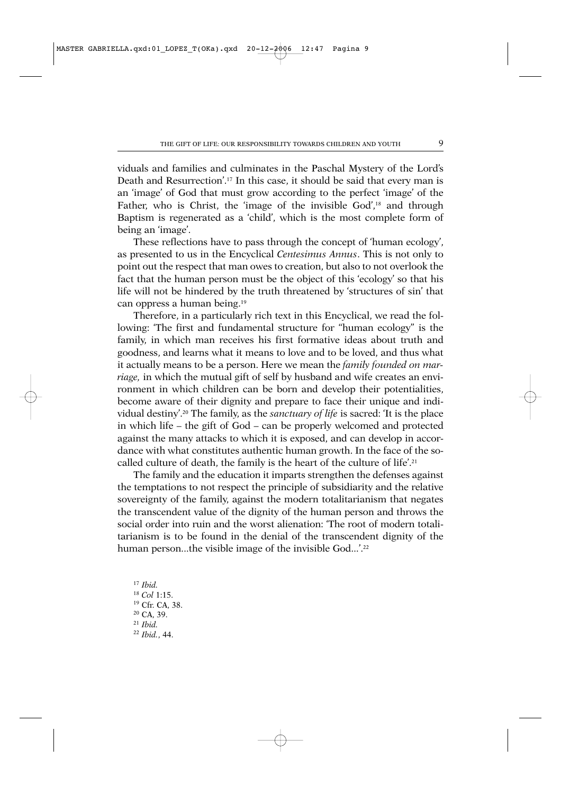viduals and families and culminates in the Paschal Mystery of the Lord's Death and Resurrection'.17 In this case, it should be said that every man is an 'image' of God that must grow according to the perfect 'image' of the Father, who is Christ, the 'image of the invisible God',<sup>18</sup> and through Baptism is regenerated as a 'child', which is the most complete form of being an 'image'.

These reflections have to pass through the concept of 'human ecology', as presented to us in the Encyclical *Centesimus Annus*. This is not only to point out the respect that man owes to creation, but also to not overlook the fact that the human person must be the object of this 'ecology' so that his life will not be hindered by the truth threatened by 'structures of sin' that can oppress a human being.19

Therefore, in a particularly rich text in this Encyclical, we read the following: 'The first and fundamental structure for "human ecology" is the family, in which man receives his first formative ideas about truth and goodness, and learns what it means to love and to be loved, and thus what it actually means to be a person. Here we mean the *family founded on marriage,* in which the mutual gift of self by husband and wife creates an environment in which children can be born and develop their potentialities, become aware of their dignity and prepare to face their unique and individual destiny'.20 The family, as the *sanctuary of life* is sacred: 'It is the place in which life – the gift of God – can be properly welcomed and protected against the many attacks to which it is exposed, and can develop in accordance with what constitutes authentic human growth. In the face of the socalled culture of death, the family is the heart of the culture of life'.<sup>21</sup>

The family and the education it imparts strengthen the defenses against the temptations to not respect the principle of subsidiarity and the relative sovereignty of the family, against the modern totalitarianism that negates the transcendent value of the dignity of the human person and throws the social order into ruin and the worst alienation: 'The root of modern totalitarianism is to be found in the denial of the transcendent dignity of the human person...the visible image of the invisible God...'.<sup>22</sup>

<sup>17</sup> *Ibid.* <sup>18</sup> *Col* 1:15. <sup>19</sup> Cfr. CA, 38. <sup>20</sup> CA, 39. <sup>21</sup> *Ibid.* <sup>22</sup> *Ibid.*, 44.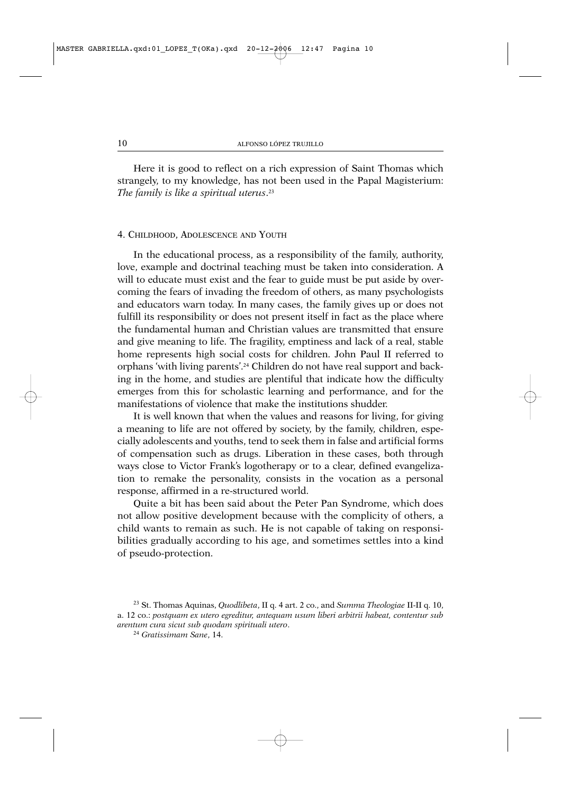Here it is good to reflect on a rich expression of Saint Thomas which strangely, to my knowledge, has not been used in the Papal Magisterium: *The family is like a spiritual uterus*. 23

#### 4. CHILDHOOD, ADOLESCENCE AND YOUTH

In the educational process, as a responsibility of the family, authority, love, example and doctrinal teaching must be taken into consideration. A will to educate must exist and the fear to guide must be put aside by overcoming the fears of invading the freedom of others, as many psychologists and educators warn today. In many cases, the family gives up or does not fulfill its responsibility or does not present itself in fact as the place where the fundamental human and Christian values are transmitted that ensure and give meaning to life. The fragility, emptiness and lack of a real, stable home represents high social costs for children. John Paul II referred to orphans 'with living parents'.<sup>24</sup> Children do not have real support and backing in the home, and studies are plentiful that indicate how the difficulty emerges from this for scholastic learning and performance, and for the manifestations of violence that make the institutions shudder.

It is well known that when the values and reasons for living, for giving a meaning to life are not offered by society, by the family, children, especially adolescents and youths, tend to seek them in false and artificial forms of compensation such as drugs. Liberation in these cases, both through ways close to Victor Frank's logotherapy or to a clear, defined evangelization to remake the personality, consists in the vocation as a personal response, affirmed in a re-structured world.

Quite a bit has been said about the Peter Pan Syndrome, which does not allow positive development because with the complicity of others, a child wants to remain as such. He is not capable of taking on responsibilities gradually according to his age, and sometimes settles into a kind of pseudo-protection.

<sup>23</sup> St. Thomas Aquinas, *Quodlibeta*, II q. 4 art. 2 co., and *Summa Theologiae* II-II q. 10, a. 12 co.: *postquam ex utero egreditur, antequam usum liberi arbitrii habeat, contentur sub arentum cura sicut sub quodam spirituali utero*.

<sup>24</sup> *Gratissimam Sane*, 14.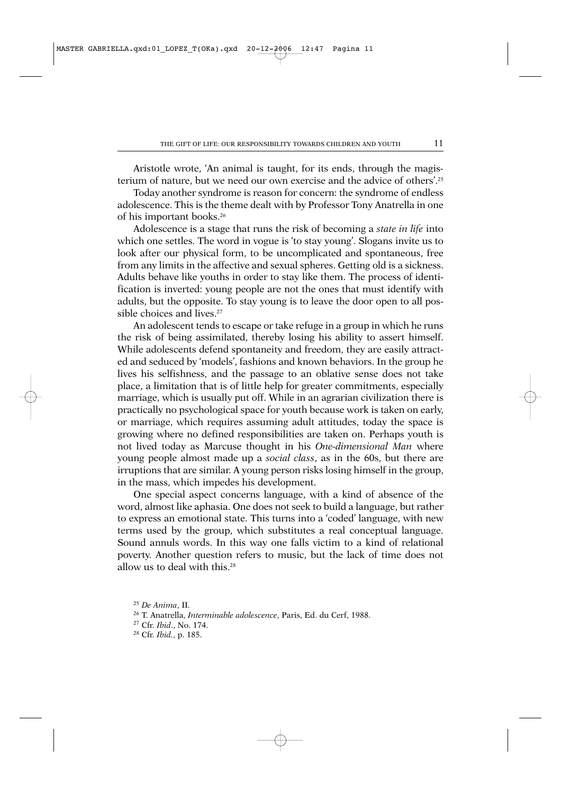Aristotle wrote, 'An animal is taught, for its ends, through the magisterium of nature, but we need our own exercise and the advice of others'.25

Today another syndrome is reason for concern: the syndrome of endless adolescence. This is the theme dealt with by Professor Tony Anatrella in one of his important books.26

Adolescence is a stage that runs the risk of becoming a *state in life* into which one settles. The word in vogue is 'to stay young'. Slogans invite us to look after our physical form, to be uncomplicated and spontaneous, free from any limits in the affective and sexual spheres. Getting old is a sickness. Adults behave like youths in order to stay like them. The process of identification is inverted: young people are not the ones that must identify with adults, but the opposite. To stay young is to leave the door open to all possible choices and lives.<sup>27</sup>

An adolescent tends to escape or take refuge in a group in which he runs the risk of being assimilated, thereby losing his ability to assert himself. While adolescents defend spontaneity and freedom, they are easily attracted and seduced by 'models', fashions and known behaviors. In the group he lives his selfishness, and the passage to an oblative sense does not take place, a limitation that is of little help for greater commitments, especially marriage, which is usually put off. While in an agrarian civilization there is practically no psychological space for youth because work is taken on early, or marriage, which requires assuming adult attitudes, today the space is growing where no defined responsibilities are taken on. Perhaps youth is not lived today as Marcuse thought in his *One-dimensional Man* where young people almost made up a *social class*, as in the 60s, but there are irruptions that are similar. A young person risks losing himself in the group, in the mass, which impedes his development.

One special aspect concerns language, with a kind of absence of the word, almost like aphasia. One does not seek to build a language, but rather to express an emotional state. This turns into a 'coded' language, with new terms used by the group, which substitutes a real conceptual language. Sound annuls words. In this way one falls victim to a kind of relational poverty. Another question refers to music, but the lack of time does not allow us to deal with this.28

<sup>25</sup> *De Anima*, II.

<sup>26</sup> T. Anatrella, *Interminable adolescence*, Paris, Ed. du Cerf, 1988.

<sup>27</sup> Cfr. *Ibid*., No. 174.

<sup>28</sup> Cfr. *Ibid.*, p. 185.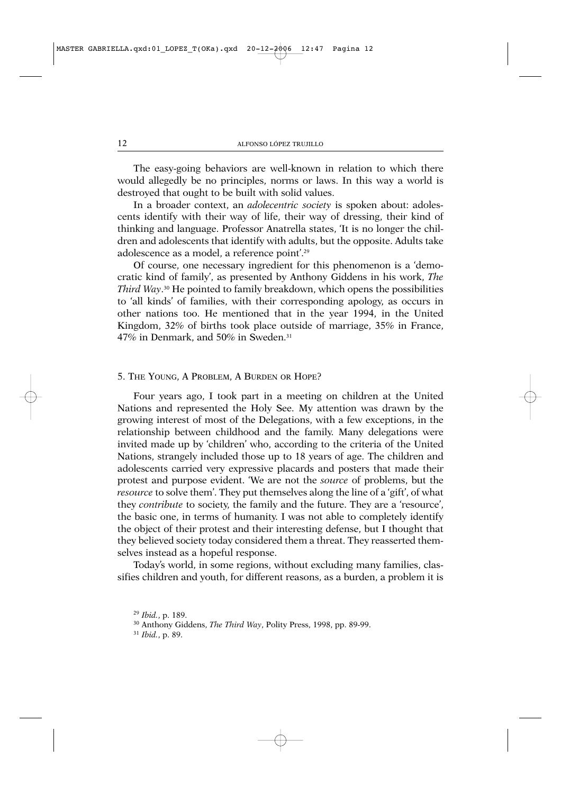The easy-going behaviors are well-known in relation to which there would allegedly be no principles, norms or laws. In this way a world is destroyed that ought to be built with solid values.

In a broader context, an *adolecentric society* is spoken about: adolescents identify with their way of life, their way of dressing, their kind of thinking and language. Professor Anatrella states, 'It is no longer the children and adolescents that identify with adults, but the opposite. Adults take adolescence as a model, a reference point'.29

Of course, one necessary ingredient for this phenomenon is a 'democratic kind of family', as presented by Anthony Giddens in his work, *The Third Way*. <sup>30</sup> He pointed to family breakdown, which opens the possibilities to 'all kinds' of families, with their corresponding apology, as occurs in other nations too. He mentioned that in the year 1994, in the United Kingdom, 32% of births took place outside of marriage, 35% in France, 47% in Denmark, and 50% in Sweden.31

#### 5. THE YOUNG, A PROBLEM, A BURDEN OR HOPE?

Four years ago, I took part in a meeting on children at the United Nations and represented the Holy See. My attention was drawn by the growing interest of most of the Delegations, with a few exceptions, in the relationship between childhood and the family. Many delegations were invited made up by 'children' who, according to the criteria of the United Nations, strangely included those up to 18 years of age. The children and adolescents carried very expressive placards and posters that made their protest and purpose evident. 'We are not the *source* of problems, but the *resource* to solve them'. They put themselves along the line of a 'gift', of what they *contribute* to society, the family and the future. They are a 'resource', the basic one, in terms of humanity. I was not able to completely identify the object of their protest and their interesting defense, but I thought that they believed society today considered them a threat. They reasserted themselves instead as a hopeful response.

Today's world, in some regions, without excluding many families, classifies children and youth, for different reasons, as a burden, a problem it is

<sup>31</sup> *Ibid.*, p. 89.

<sup>29</sup> *Ibid.*, p. 189.

<sup>30</sup> Anthony Giddens, *The Third Way*, Polity Press, 1998, pp. 89-99.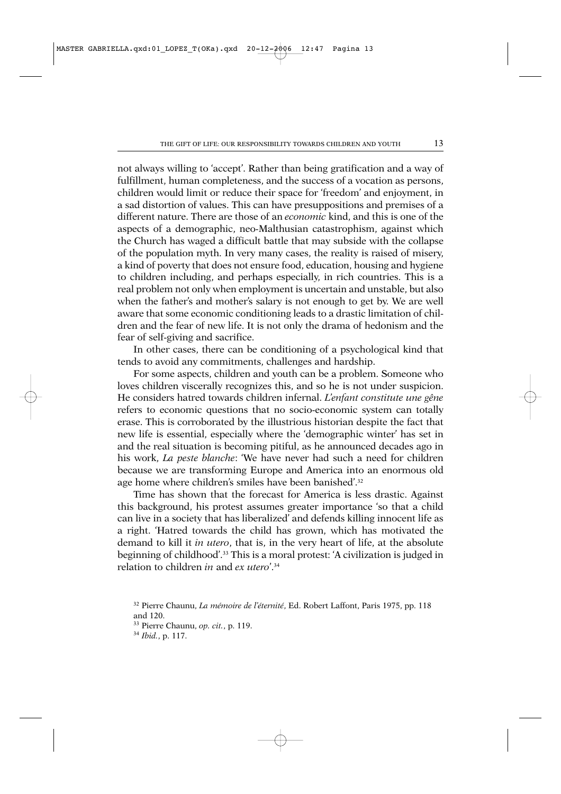not always willing to 'accept'. Rather than being gratification and a way of fulfillment, human completeness, and the success of a vocation as persons, children would limit or reduce their space for 'freedom' and enjoyment, in a sad distortion of values. This can have presuppositions and premises of a different nature. There are those of an *economic* kind, and this is one of the aspects of a demographic, neo-Malthusian catastrophism, against which the Church has waged a difficult battle that may subside with the collapse of the population myth. In very many cases, the reality is raised of misery, a kind of poverty that does not ensure food, education, housing and hygiene to children including, and perhaps especially, in rich countries. This is a real problem not only when employment is uncertain and unstable, but also when the father's and mother's salary is not enough to get by. We are well aware that some economic conditioning leads to a drastic limitation of children and the fear of new life. It is not only the drama of hedonism and the fear of self-giving and sacrifice.

In other cases, there can be conditioning of a psychological kind that tends to avoid any commitments, challenges and hardship.

For some aspects, children and youth can be a problem. Someone who loves children viscerally recognizes this, and so he is not under suspicion. He considers hatred towards children infernal. *L'enfant constitute une gêne* refers to economic questions that no socio-economic system can totally erase. This is corroborated by the illustrious historian despite the fact that new life is essential, especially where the 'demographic winter' has set in and the real situation is becoming pitiful, as he announced decades ago in his work, *La peste blanche*: 'We have never had such a need for children because we are transforming Europe and America into an enormous old age home where children's smiles have been banished'.<sup>32</sup>

Time has shown that the forecast for America is less drastic. Against this background, his protest assumes greater importance 'so that a child can live in a society that has liberalized' and defends killing innocent life as a right. 'Hatred towards the child has grown, which has motivated the demand to kill it *in utero*, that is, in the very heart of life, at the absolute beginning of childhood'.33 This is a moral protest: 'A civilization is judged in relation to children *in* and *ex utero*'.34

<sup>32</sup> Pierre Chaunu, *La mémoire de l'éternité*, Ed. Robert Laffont, Paris 1975, pp. 118 and 120.

<sup>33</sup> Pierre Chaunu, *op. cit.*, p. 119.

<sup>34</sup> *Ibid.*, p. 117.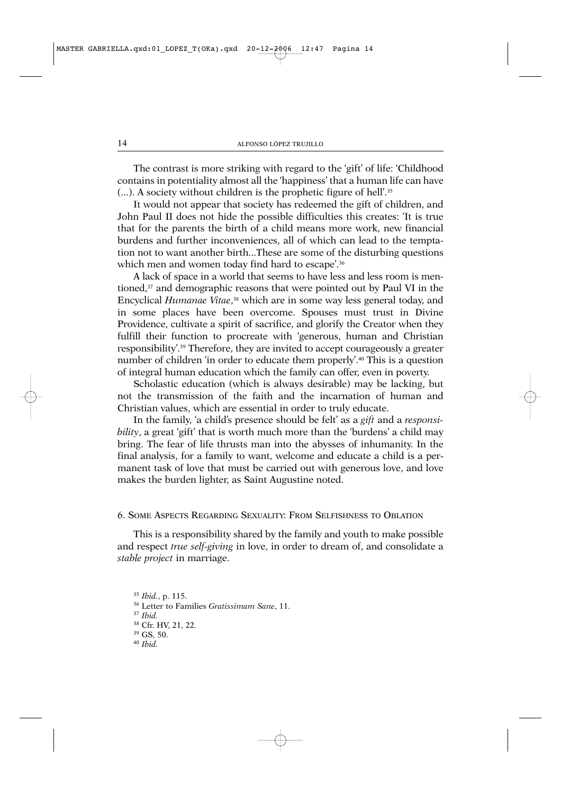The contrast is more striking with regard to the 'gift' of life: 'Childhood contains in potentiality almost all the 'happiness' that a human life can have (...). A society without children is the prophetic figure of hell'.35

It would not appear that society has redeemed the gift of children, and John Paul II does not hide the possible difficulties this creates: 'It is true that for the parents the birth of a child means more work, new financial burdens and further inconveniences, all of which can lead to the temptation not to want another birth...These are some of the disturbing questions which men and women today find hard to escape'.<sup>36</sup>

A lack of space in a world that seems to have less and less room is mentioned, $37$  and demographic reasons that were pointed out by Paul VI in the Encyclical *Humanae Vitae*, <sup>38</sup> which are in some way less general today, and in some places have been overcome. Spouses must trust in Divine Providence, cultivate a spirit of sacrifice, and glorify the Creator when they fulfill their function to procreate with 'generous, human and Christian responsibility'.39 Therefore, they are invited to accept courageously a greater number of children 'in order to educate them properly'.40 This is a question of integral human education which the family can offer, even in poverty.

Scholastic education (which is always desirable) may be lacking, but not the transmission of the faith and the incarnation of human and Christian values, which are essential in order to truly educate.

In the family, 'a child's presence should be felt' as a *gift* and a *responsibility*, a great 'gift' that is worth much more than the 'burdens' a child may bring. The fear of life thrusts man into the abysses of inhumanity. In the final analysis, for a family to want, welcome and educate a child is a permanent task of love that must be carried out with generous love, and love makes the burden lighter, as Saint Augustine noted.

6. SOME ASPECTS REGARDING SEXUALITY: FROM SELFISHNESS TO OBLATION

This is a responsibility shared by the family and youth to make possible and respect *true self-giving* in love, in order to dream of, and consolidate a *stable project* in marriage.

<sup>35</sup> *Ibid.*, p. 115. <sup>36</sup> Letter to Families *Gratissimam Sane*, 11. <sup>37</sup> *Ibid.* <sup>38</sup> Cfr. HV, 21, 22. <sup>39</sup> GS, 50. <sup>40</sup> *Ibid.*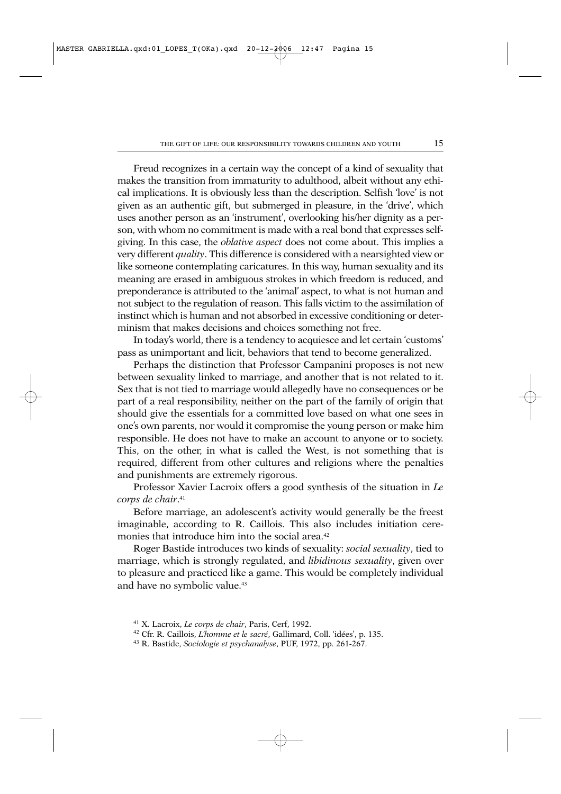Freud recognizes in a certain way the concept of a kind of sexuality that makes the transition from immaturity to adulthood, albeit without any ethical implications. It is obviously less than the description. Selfish 'love' is not given as an authentic gift, but submerged in pleasure, in the 'drive', which uses another person as an 'instrument', overlooking his/her dignity as a person, with whom no commitment is made with a real bond that expresses selfgiving. In this case, the *oblative aspect* does not come about. This implies a very different *quality*. This difference is considered with a nearsighted view or like someone contemplating caricatures. In this way, human sexuality and its meaning are erased in ambiguous strokes in which freedom is reduced, and preponderance is attributed to the 'animal' aspect, to what is not human and not subject to the regulation of reason. This falls victim to the assimilation of instinct which is human and not absorbed in excessive conditioning or determinism that makes decisions and choices something not free.

In today's world, there is a tendency to acquiesce and let certain 'customs' pass as unimportant and licit, behaviors that tend to become generalized.

Perhaps the distinction that Professor Campanini proposes is not new between sexuality linked to marriage, and another that is not related to it. Sex that is not tied to marriage would allegedly have no consequences or be part of a real responsibility, neither on the part of the family of origin that should give the essentials for a committed love based on what one sees in one's own parents, nor would it compromise the young person or make him responsible. He does not have to make an account to anyone or to society. This, on the other, in what is called the West, is not something that is required, different from other cultures and religions where the penalties and punishments are extremely rigorous.

Professor Xavier Lacroix offers a good synthesis of the situation in *Le corps de chair*. 41

Before marriage, an adolescent's activity would generally be the freest imaginable, according to R. Caillois. This also includes initiation ceremonies that introduce him into the social area.<sup>42</sup>

Roger Bastide introduces two kinds of sexuality: *social sexuality*, tied to marriage, which is strongly regulated, and *libidinous sexuality*, given over to pleasure and practiced like a game. This would be completely individual and have no symbolic value.43

<sup>41</sup> X. Lacroix, *Le corps de chair*, Paris, Cerf, 1992.

<sup>42</sup> Cfr. R. Caillois, *L'homme et le sacré*, Gallimard, Coll. 'idées', p. 135.

<sup>43</sup> R. Bastide, *Sociologie et psychanalyse*, PUF, 1972, pp. 261-267.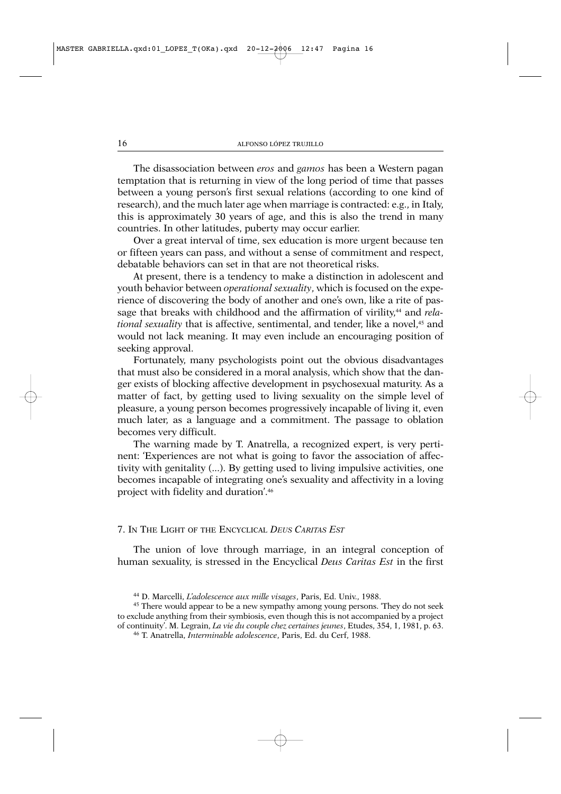The disassociation between *eros* and *gamos* has been a Western pagan temptation that is returning in view of the long period of time that passes between a young person's first sexual relations (according to one kind of research), and the much later age when marriage is contracted: e.g., in Italy, this is approximately 30 years of age, and this is also the trend in many countries. In other latitudes, puberty may occur earlier.

Over a great interval of time, sex education is more urgent because ten or fifteen years can pass, and without a sense of commitment and respect, debatable behaviors can set in that are not theoretical risks.

At present, there is a tendency to make a distinction in adolescent and youth behavior between *operational sexuality*, which is focused on the experience of discovering the body of another and one's own, like a rite of passage that breaks with childhood and the affirmation of virility,44 and *relational sexuality* that is affective, sentimental, and tender, like a novel,<sup>45</sup> and would not lack meaning. It may even include an encouraging position of seeking approval.

Fortunately, many psychologists point out the obvious disadvantages that must also be considered in a moral analysis, which show that the danger exists of blocking affective development in psychosexual maturity. As a matter of fact, by getting used to living sexuality on the simple level of pleasure, a young person becomes progressively incapable of living it, even much later, as a language and a commitment. The passage to oblation becomes very difficult.

The warning made by T. Anatrella, a recognized expert, is very pertinent: 'Experiences are not what is going to favor the association of affectivity with genitality (...). By getting used to living impulsive activities, one becomes incapable of integrating one's sexuality and affectivity in a loving project with fidelity and duration'.46

# 7. IN THE LIGHT OF THE ENCYCLICAL *DEUS CARITAS EST*

The union of love through marriage, in an integral conception of human sexuality, is stressed in the Encyclical *Deus Caritas Est* in the first

<sup>44</sup> D. Marcelli, *L'adolescence aux mille visages*, Paris, Ed. Univ., 1988.

<sup>45</sup> There would appear to be a new sympathy among young persons. 'They do not seek to exclude anything from their symbiosis, even though this is not accompanied by a project of continuity'. M. Legrain, *La vie du couple chez certaines jeunes*, Etudes, 354, 1, 1981, p. 63.

<sup>46</sup> T. Anatrella, *Interminable adolescence*, Paris, Ed. du Cerf, 1988.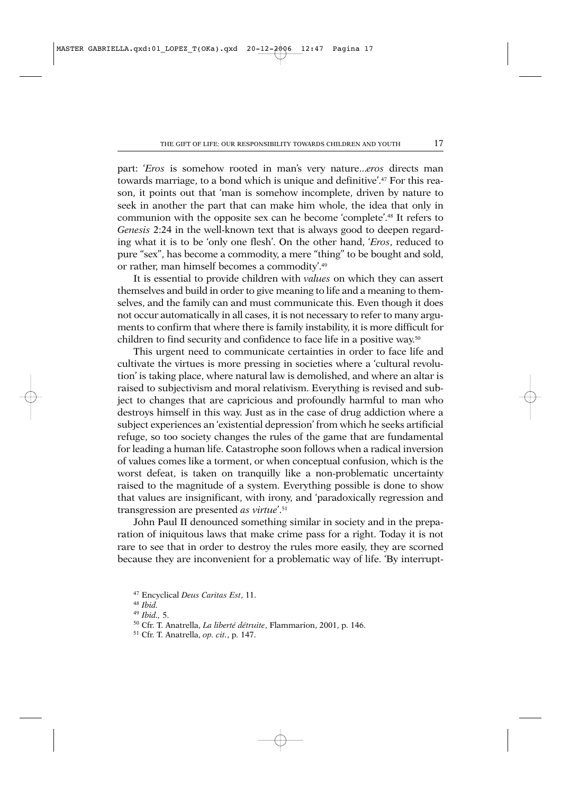part: '*Eros* is somehow rooted in man's very nature...*eros* directs man towards marriage, to a bond which is unique and definitive'.47 For this reason, it points out that 'man is somehow incomplete, driven by nature to seek in another the part that can make him whole, the idea that only in communion with the opposite sex can he become 'complete'.48 It refers to *Genesis* 2:24 in the well-known text that is always good to deepen regarding what it is to be 'only one flesh'. On the other hand, '*Eros*, reduced to pure "sex", has become a commodity, a mere "thing" to be bought and sold, or rather, man himself becomes a commodity'.49

It is essential to provide children with *values* on which they can assert themselves and build in order to give meaning to life and a meaning to themselves, and the family can and must communicate this. Even though it does not occur automatically in all cases, it is not necessary to refer to many arguments to confirm that where there is family instability, it is more difficult for children to find security and confidence to face life in a positive way.50

This urgent need to communicate certainties in order to face life and cultivate the virtues is more pressing in societies where a 'cultural revolution' is taking place, where natural law is demolished, and where an altar is raised to subjectivism and moral relativism. Everything is revised and subject to changes that are capricious and profoundly harmful to man who destroys himself in this way. Just as in the case of drug addiction where a subject experiences an 'existential depression' from which he seeks artificial refuge, so too society changes the rules of the game that are fundamental for leading a human life. Catastrophe soon follows when a radical inversion of values comes like a torment, or when conceptual confusion, which is the worst defeat, is taken on tranquilly like a non-problematic uncertainty raised to the magnitude of a system. Everything possible is done to show that values are insignificant, with irony, and 'paradoxically regression and transgression are presented *as virtue*'.51

John Paul II denounced something similar in society and in the preparation of iniquitous laws that make crime pass for a right. Today it is not rare to see that in order to destroy the rules more easily, they are scorned because they are inconvenient for a problematic way of life. 'By interrupt-

<sup>47</sup> Encyclical *Deus Caritas Est*, 11.

<sup>48</sup> *Ibid.*

<sup>49</sup> *Ibid.,* 5.

<sup>50</sup> Cfr. T. Anatrella, *La liberté détruite*, Flammarion, 2001, p. 146.

<sup>51</sup> Cfr. T. Anatrella, *op. cit.*, p. 147.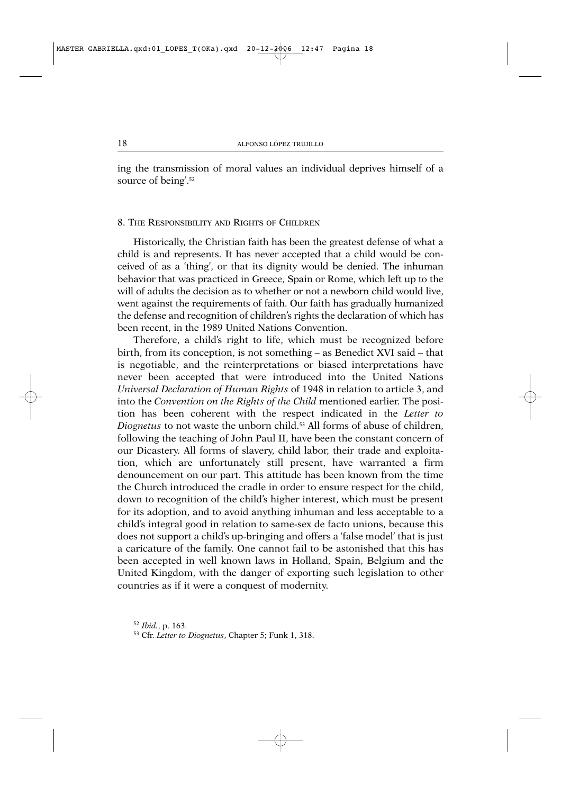ing the transmission of moral values an individual deprives himself of a source of being'.<sup>52</sup>

# 8. THE RESPONSIBILITY AND RIGHTS OF CHILDREN

Historically, the Christian faith has been the greatest defense of what a child is and represents. It has never accepted that a child would be conceived of as a 'thing', or that its dignity would be denied. The inhuman behavior that was practiced in Greece, Spain or Rome, which left up to the will of adults the decision as to whether or not a newborn child would live, went against the requirements of faith. Our faith has gradually humanized the defense and recognition of children's rights the declaration of which has been recent, in the 1989 United Nations Convention.

Therefore, a child's right to life, which must be recognized before birth, from its conception, is not something – as Benedict XVI said – that is negotiable, and the reinterpretations or biased interpretations have never been accepted that were introduced into the United Nations *Universal Declaration of Human Rights* of 1948 in relation to article 3, and into the *Convention on the Rights of the Child* mentioned earlier. The position has been coherent with the respect indicated in the *Letter to Diognetus* to not waste the unborn child.<sup>53</sup> All forms of abuse of children, following the teaching of John Paul II, have been the constant concern of our Dicastery. All forms of slavery, child labor, their trade and exploitation, which are unfortunately still present, have warranted a firm denouncement on our part. This attitude has been known from the time the Church introduced the cradle in order to ensure respect for the child, down to recognition of the child's higher interest, which must be present for its adoption, and to avoid anything inhuman and less acceptable to a child's integral good in relation to same-sex de facto unions, because this does not support a child's up-bringing and offers a 'false model' that is just a caricature of the family. One cannot fail to be astonished that this has been accepted in well known laws in Holland, Spain, Belgium and the United Kingdom, with the danger of exporting such legislation to other countries as if it were a conquest of modernity.

<sup>52</sup> *Ibid.*, p. 163.

<sup>53</sup> Cfr. *Letter to Diognetus*, Chapter 5; Funk 1, 318.